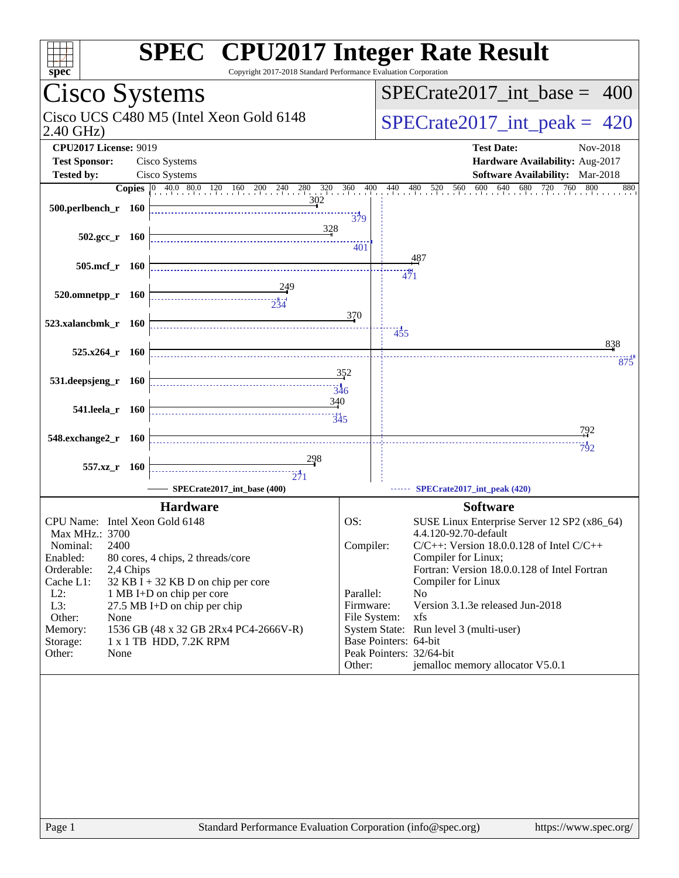| Copyright 2017-2018 Standard Performance Evaluation Corporation<br>spec <sup>®</sup>                                                                                                                                                                                                                                                                                                                                               | <b>SPEC<sup>®</sup> CPU2017 Integer Rate Result</b>                                                                                                                                                                                                                                                                                                                                                                                                                                                            |
|------------------------------------------------------------------------------------------------------------------------------------------------------------------------------------------------------------------------------------------------------------------------------------------------------------------------------------------------------------------------------------------------------------------------------------|----------------------------------------------------------------------------------------------------------------------------------------------------------------------------------------------------------------------------------------------------------------------------------------------------------------------------------------------------------------------------------------------------------------------------------------------------------------------------------------------------------------|
| Cisco Systems                                                                                                                                                                                                                                                                                                                                                                                                                      | $SPECrate2017\_int\_base =$<br>400                                                                                                                                                                                                                                                                                                                                                                                                                                                                             |
| Cisco UCS C480 M5 (Intel Xeon Gold 6148<br>$2.40$ GHz)                                                                                                                                                                                                                                                                                                                                                                             | $SPECrate2017\_int\_peak = 420$                                                                                                                                                                                                                                                                                                                                                                                                                                                                                |
| <b>CPU2017 License: 9019</b><br><b>Test Sponsor:</b><br>Cisco Systems                                                                                                                                                                                                                                                                                                                                                              | <b>Test Date:</b><br>Nov-2018<br>Hardware Availability: Aug-2017                                                                                                                                                                                                                                                                                                                                                                                                                                               |
| Cisco Systems<br><b>Tested by:</b>                                                                                                                                                                                                                                                                                                                                                                                                 | Software Availability: Mar-2018                                                                                                                                                                                                                                                                                                                                                                                                                                                                                |
| <b>Copies</b> 0 40.0 80.0 120 160 200 240 280 320 360 400 440 480 520 560                                                                                                                                                                                                                                                                                                                                                          | 600<br>640 680 720<br>760<br>800<br>880                                                                                                                                                                                                                                                                                                                                                                                                                                                                        |
| 302<br>500.perlbench_r 160                                                                                                                                                                                                                                                                                                                                                                                                         | $\frac{11}{379}$                                                                                                                                                                                                                                                                                                                                                                                                                                                                                               |
| 328<br>$502.\text{gcc r}$ 160                                                                                                                                                                                                                                                                                                                                                                                                      | 401                                                                                                                                                                                                                                                                                                                                                                                                                                                                                                            |
| $505$ .mcf_r $160$                                                                                                                                                                                                                                                                                                                                                                                                                 | 487                                                                                                                                                                                                                                                                                                                                                                                                                                                                                                            |
|                                                                                                                                                                                                                                                                                                                                                                                                                                    | <br>471                                                                                                                                                                                                                                                                                                                                                                                                                                                                                                        |
| 520.omnetpp_r 160                                                                                                                                                                                                                                                                                                                                                                                                                  |                                                                                                                                                                                                                                                                                                                                                                                                                                                                                                                |
| 523.xalancbmk_r 160                                                                                                                                                                                                                                                                                                                                                                                                                | 370                                                                                                                                                                                                                                                                                                                                                                                                                                                                                                            |
|                                                                                                                                                                                                                                                                                                                                                                                                                                    | 455<br>838                                                                                                                                                                                                                                                                                                                                                                                                                                                                                                     |
| $525.x264$ r 160                                                                                                                                                                                                                                                                                                                                                                                                                   |                                                                                                                                                                                                                                                                                                                                                                                                                                                                                                                |
| 531.deepsjeng_r<br>- 160<br>346                                                                                                                                                                                                                                                                                                                                                                                                    | 875<br>352                                                                                                                                                                                                                                                                                                                                                                                                                                                                                                     |
| 340<br>541.leela_r 160<br>$\frac{11}{345}$                                                                                                                                                                                                                                                                                                                                                                                         |                                                                                                                                                                                                                                                                                                                                                                                                                                                                                                                |
| 548.exchange2_r 160                                                                                                                                                                                                                                                                                                                                                                                                                | 792                                                                                                                                                                                                                                                                                                                                                                                                                                                                                                            |
|                                                                                                                                                                                                                                                                                                                                                                                                                                    | 792                                                                                                                                                                                                                                                                                                                                                                                                                                                                                                            |
| 557.xz<br>- 160                                                                                                                                                                                                                                                                                                                                                                                                                    |                                                                                                                                                                                                                                                                                                                                                                                                                                                                                                                |
| $\frac{1}{271}$<br>SPECrate2017_int_base (400)                                                                                                                                                                                                                                                                                                                                                                                     |                                                                                                                                                                                                                                                                                                                                                                                                                                                                                                                |
|                                                                                                                                                                                                                                                                                                                                                                                                                                    | SPECrate2017_int_peak (420)                                                                                                                                                                                                                                                                                                                                                                                                                                                                                    |
| <b>Hardware</b><br>CPU Name: Intel Xeon Gold 6148<br>Max MHz.: 3700<br>Nominal:<br>2400<br>Enabled:<br>80 cores, 4 chips, 2 threads/core<br>Orderable:<br>2,4 Chips<br>Cache L1:<br>32 KB I + 32 KB D on chip per core<br>$L2$ :<br>1 MB I+D on chip per core<br>L3:<br>27.5 MB I+D on chip per chip<br>Other:<br>None<br>Memory:<br>1536 GB (48 x 32 GB 2Rx4 PC4-2666V-R)<br>1 x 1 TB HDD, 7.2K RPM<br>Storage:<br>Other:<br>None | <b>Software</b><br>OS:<br>SUSE Linux Enterprise Server 12 SP2 (x86_64)<br>4.4.120-92.70-default<br>Compiler:<br>$C/C++$ : Version 18.0.0.128 of Intel $C/C++$<br>Compiler for Linux;<br>Fortran: Version 18.0.0.128 of Intel Fortran<br>Compiler for Linux<br>Parallel:<br>N <sub>0</sub><br>Firmware:<br>Version 3.1.3e released Jun-2018<br>File System:<br>xfs<br>System State: Run level 3 (multi-user)<br>Base Pointers: 64-bit<br>Peak Pointers: 32/64-bit<br>jemalloc memory allocator V5.0.1<br>Other: |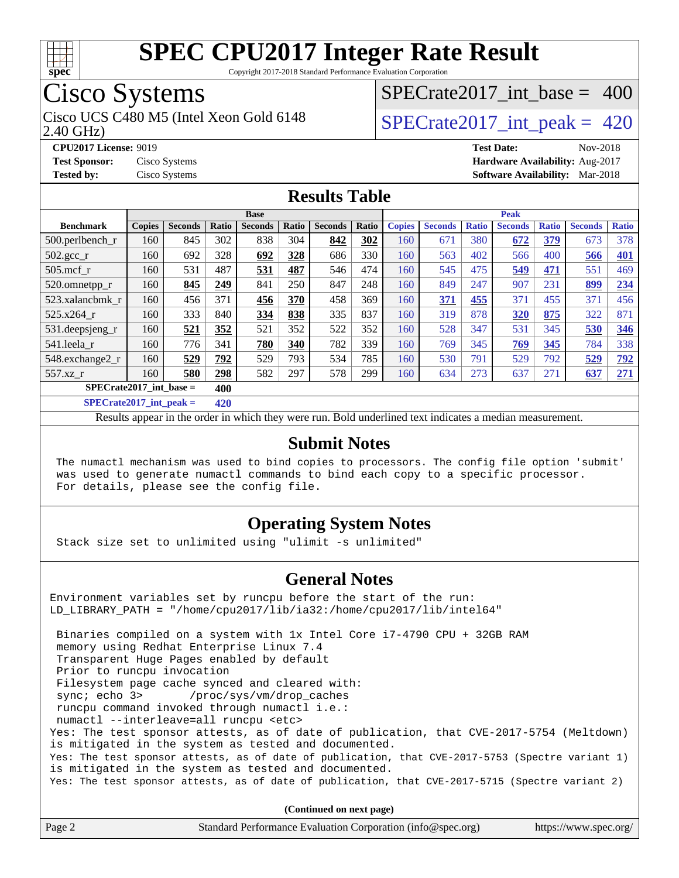

Copyright 2017-2018 Standard Performance Evaluation Corporation

## Cisco Systems

2.40 GHz) Cisco UCS C480 M5 (Intel Xeon Gold 6148  $\vert$  [SPECrate2017\\_int\\_peak =](http://www.spec.org/auto/cpu2017/Docs/result-fields.html#SPECrate2017intpeak) 420

[SPECrate2017\\_int\\_base =](http://www.spec.org/auto/cpu2017/Docs/result-fields.html#SPECrate2017intbase) 400

**[Tested by:](http://www.spec.org/auto/cpu2017/Docs/result-fields.html#Testedby)** Cisco Systems **[Software Availability:](http://www.spec.org/auto/cpu2017/Docs/result-fields.html#SoftwareAvailability)** Mar-2018

**[CPU2017 License:](http://www.spec.org/auto/cpu2017/Docs/result-fields.html#CPU2017License)** 9019 **[Test Date:](http://www.spec.org/auto/cpu2017/Docs/result-fields.html#TestDate)** Nov-2018 **[Test Sponsor:](http://www.spec.org/auto/cpu2017/Docs/result-fields.html#TestSponsor)** Cisco Systems **[Hardware Availability:](http://www.spec.org/auto/cpu2017/Docs/result-fields.html#HardwareAvailability)** Aug-2017

### **[Results Table](http://www.spec.org/auto/cpu2017/Docs/result-fields.html#ResultsTable)**

|                                    | <b>Base</b>   |                |            |                |       | <b>Peak</b>    |       |               |                |              |                |              |                |              |
|------------------------------------|---------------|----------------|------------|----------------|-------|----------------|-------|---------------|----------------|--------------|----------------|--------------|----------------|--------------|
| <b>Benchmark</b>                   | <b>Copies</b> | <b>Seconds</b> | Ratio      | <b>Seconds</b> | Ratio | <b>Seconds</b> | Ratio | <b>Copies</b> | <b>Seconds</b> | <b>Ratio</b> | <b>Seconds</b> | <b>Ratio</b> | <b>Seconds</b> | <b>Ratio</b> |
| $500.$ perlbench r                 | 160           | 845            | 302        | 838            | 304   | 842            | 302   | 160           | 671            | 380          | 672            | 379          | 673            | 378          |
| $502.\text{gcc}$ _r                | 160           | 692            | 328        | 692            | 328   | 686            | 330   | 160           | 563            | 402          | 566            | 400          | 566            | <b>401</b>   |
| $505$ .mcf r                       | 160           | 531            | 487        | 531            | 487   | 546            | 474   | 160           | 545            | 475          | 549            | 471          | 551            | 469          |
| 520.omnetpp_r                      | 160           | 845            | 249        | 841            | 250   | 847            | 248   | 160           | 849            | 247          | 907            | 231          | 899            | 234          |
| 523.xalancbmk r                    | 160           | 456            | 371        | 456            | 370   | 458            | 369   | 160           | 371            | 455          | 371            | 455          | 371            | 456          |
| 525.x264 r                         | 160           | 333            | 840        | 334            | 838   | 335            | 837   | 160           | 319            | 878          | 320            | 875          | 322            | 871          |
| 531.deepsjeng_r                    | 160           | 521            | 352        | 521            | 352   | 522            | 352   | 160           | 528            | 347          | 531            | 345          | 530            | 346          |
| 541.leela r                        | 160           | 776            | 341        | 780            | 340   | 782            | 339   | 160           | 769            | 345          | 769            | 345          | 784            | 338          |
| 548.exchange2_r                    | 160           | 529            | 792        | 529            | 793   | 534            | 785   | 160           | 530            | 791          | 529            | 792          | 529            | 792          |
| 557.xz r                           | 160           | 580            | 298        | 582            | 297   | 578            | 299   | 160           | 634            | 273          | 637            | 271          | 637            | 271          |
| $SPECrate2017\_int\_base =$<br>400 |               |                |            |                |       |                |       |               |                |              |                |              |                |              |
| $CDDCD = 1.4047 + 1.1$             |               |                | $\sqrt{2}$ |                |       |                |       |               |                |              |                |              |                |              |

**[SPECrate2017\\_int\\_peak =](http://www.spec.org/auto/cpu2017/Docs/result-fields.html#SPECrate2017intpeak) 420**

Results appear in the [order in which they were run](http://www.spec.org/auto/cpu2017/Docs/result-fields.html#RunOrder). Bold underlined text [indicates a median measurement](http://www.spec.org/auto/cpu2017/Docs/result-fields.html#Median).

#### **[Submit Notes](http://www.spec.org/auto/cpu2017/Docs/result-fields.html#SubmitNotes)**

 The numactl mechanism was used to bind copies to processors. The config file option 'submit' was used to generate numactl commands to bind each copy to a specific processor. For details, please see the config file.

### **[Operating System Notes](http://www.spec.org/auto/cpu2017/Docs/result-fields.html#OperatingSystemNotes)**

Stack size set to unlimited using "ulimit -s unlimited"

#### **[General Notes](http://www.spec.org/auto/cpu2017/Docs/result-fields.html#GeneralNotes)**

Environment variables set by runcpu before the start of the run: LD\_LIBRARY\_PATH = "/home/cpu2017/lib/ia32:/home/cpu2017/lib/intel64"

 Binaries compiled on a system with 1x Intel Core i7-4790 CPU + 32GB RAM memory using Redhat Enterprise Linux 7.4 Transparent Huge Pages enabled by default Prior to runcpu invocation Filesystem page cache synced and cleared with: sync; echo 3> /proc/sys/vm/drop\_caches runcpu command invoked through numactl i.e.: numactl --interleave=all runcpu <etc> Yes: The test sponsor attests, as of date of publication, that CVE-2017-5754 (Meltdown) is mitigated in the system as tested and documented. Yes: The test sponsor attests, as of date of publication, that CVE-2017-5753 (Spectre variant 1) is mitigated in the system as tested and documented. Yes: The test sponsor attests, as of date of publication, that CVE-2017-5715 (Spectre variant 2)

**(Continued on next page)**

| Page 2 | Standard Performance Evaluation Corporation (info@spec.org) | https://www.spec.org/ |
|--------|-------------------------------------------------------------|-----------------------|
|        |                                                             |                       |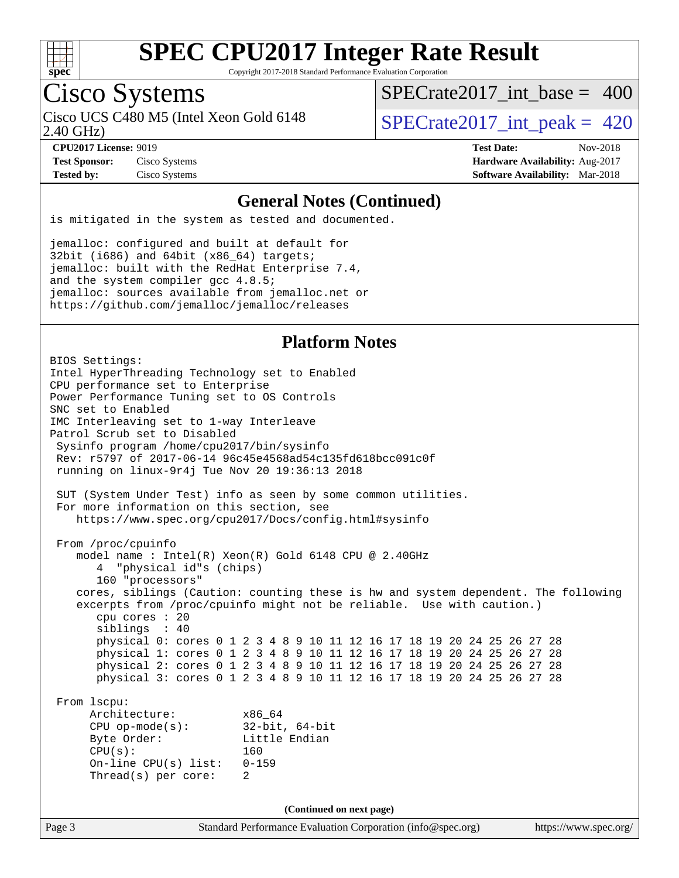

Copyright 2017-2018 Standard Performance Evaluation Corporation

### Cisco Systems

2.40 GHz) Cisco UCS C480 M5 (Intel Xeon Gold 6148  $\vert$  [SPECrate2017\\_int\\_peak =](http://www.spec.org/auto/cpu2017/Docs/result-fields.html#SPECrate2017intpeak) 420

[SPECrate2017\\_int\\_base =](http://www.spec.org/auto/cpu2017/Docs/result-fields.html#SPECrate2017intbase) 400

**[Test Sponsor:](http://www.spec.org/auto/cpu2017/Docs/result-fields.html#TestSponsor)** Cisco Systems **[Hardware Availability:](http://www.spec.org/auto/cpu2017/Docs/result-fields.html#HardwareAvailability)** Aug-2017

**[CPU2017 License:](http://www.spec.org/auto/cpu2017/Docs/result-fields.html#CPU2017License)** 9019 **[Test Date:](http://www.spec.org/auto/cpu2017/Docs/result-fields.html#TestDate)** Nov-2018 **[Tested by:](http://www.spec.org/auto/cpu2017/Docs/result-fields.html#Testedby)** Cisco Systems **[Software Availability:](http://www.spec.org/auto/cpu2017/Docs/result-fields.html#SoftwareAvailability)** Mar-2018

#### **[General Notes \(Continued\)](http://www.spec.org/auto/cpu2017/Docs/result-fields.html#GeneralNotes)**

is mitigated in the system as tested and documented.

jemalloc: configured and built at default for 32bit (i686) and 64bit (x86\_64) targets; jemalloc: built with the RedHat Enterprise 7.4, and the system compiler gcc 4.8.5; jemalloc: sources available from jemalloc.net or <https://github.com/jemalloc/jemalloc/releases>

### **[Platform Notes](http://www.spec.org/auto/cpu2017/Docs/result-fields.html#PlatformNotes)**

Page 3 Standard Performance Evaluation Corporation [\(info@spec.org\)](mailto:info@spec.org) <https://www.spec.org/> BIOS Settings: Intel HyperThreading Technology set to Enabled CPU performance set to Enterprise Power Performance Tuning set to OS Controls SNC set to Enabled IMC Interleaving set to 1-way Interleave Patrol Scrub set to Disabled Sysinfo program /home/cpu2017/bin/sysinfo Rev: r5797 of 2017-06-14 96c45e4568ad54c135fd618bcc091c0f running on linux-9r4j Tue Nov 20 19:36:13 2018 SUT (System Under Test) info as seen by some common utilities. For more information on this section, see <https://www.spec.org/cpu2017/Docs/config.html#sysinfo> From /proc/cpuinfo model name : Intel(R) Xeon(R) Gold 6148 CPU @ 2.40GHz 4 "physical id"s (chips) 160 "processors" cores, siblings (Caution: counting these is hw and system dependent. The following excerpts from /proc/cpuinfo might not be reliable. Use with caution.) cpu cores : 20 siblings : 40 physical 0: cores 0 1 2 3 4 8 9 10 11 12 16 17 18 19 20 24 25 26 27 28 physical 1: cores 0 1 2 3 4 8 9 10 11 12 16 17 18 19 20 24 25 26 27 28 physical 2: cores 0 1 2 3 4 8 9 10 11 12 16 17 18 19 20 24 25 26 27 28 physical 3: cores 0 1 2 3 4 8 9 10 11 12 16 17 18 19 20 24 25 26 27 28 From lscpu: Architecture: x86\_64 CPU op-mode(s): 32-bit, 64-bit Byte Order: Little Endian CPU(s): 160 On-line CPU(s) list: 0-159 Thread(s) per core: 2 **(Continued on next page)**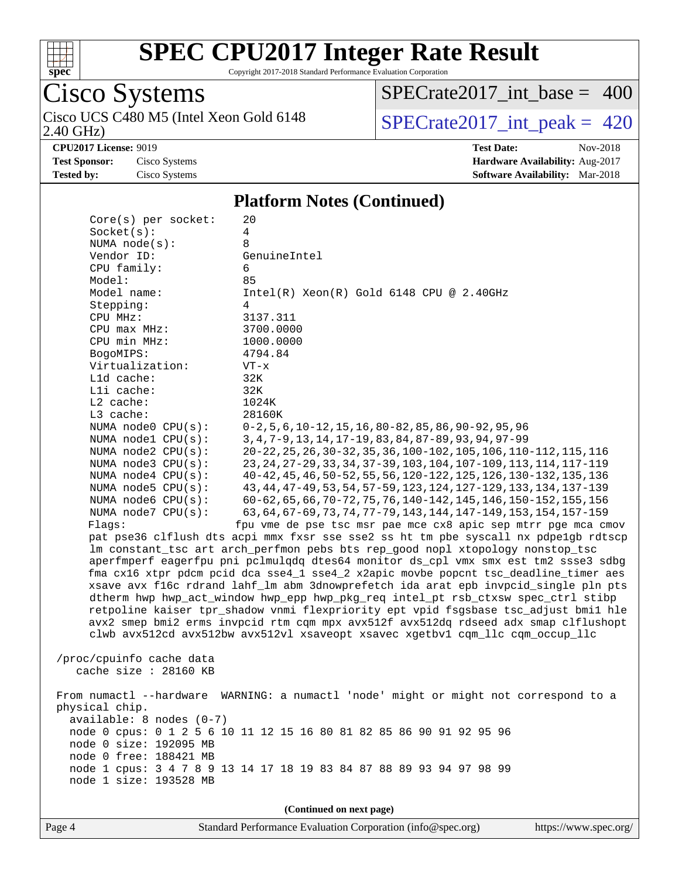

Copyright 2017-2018 Standard Performance Evaluation Corporation

# Cisco Systems

2.40 GHz) Cisco UCS C480 M5 (Intel Xeon Gold 6148  $\big|$  [SPECrate2017\\_int\\_peak =](http://www.spec.org/auto/cpu2017/Docs/result-fields.html#SPECrate2017intpeak) 420

[SPECrate2017\\_int\\_base =](http://www.spec.org/auto/cpu2017/Docs/result-fields.html#SPECrate2017intbase) 400

**[CPU2017 License:](http://www.spec.org/auto/cpu2017/Docs/result-fields.html#CPU2017License)** 9019 **[Test Date:](http://www.spec.org/auto/cpu2017/Docs/result-fields.html#TestDate)** Nov-2018 **[Test Sponsor:](http://www.spec.org/auto/cpu2017/Docs/result-fields.html#TestSponsor)** Cisco Systems **[Hardware Availability:](http://www.spec.org/auto/cpu2017/Docs/result-fields.html#HardwareAvailability)** Aug-2017 **[Tested by:](http://www.spec.org/auto/cpu2017/Docs/result-fields.html#Testedby)** Cisco Systems **[Software Availability:](http://www.spec.org/auto/cpu2017/Docs/result-fields.html#SoftwareAvailability)** Mar-2018

#### **[Platform Notes \(Continued\)](http://www.spec.org/auto/cpu2017/Docs/result-fields.html#PlatformNotes)**

| $Core(s)$ per socket:      | 20                                                                                   |
|----------------------------|--------------------------------------------------------------------------------------|
| Socket(s):                 | 4                                                                                    |
| NUMA $node(s):$            | 8                                                                                    |
| Vendor ID:                 | GenuineIntel                                                                         |
| CPU family:                | 6                                                                                    |
| Model:                     | 85                                                                                   |
| Model name:                | $Intel(R)$ Xeon $(R)$ Gold 6148 CPU @ 2.40GHz                                        |
| Stepping:                  | 4                                                                                    |
| CPU MHz:                   | 3137.311                                                                             |
| CPU max MHz:               | 3700.0000                                                                            |
| CPU min MHz:               | 1000.0000                                                                            |
| BogoMIPS:                  | 4794.84                                                                              |
| Virtualization:            | $VT - x$                                                                             |
| L1d cache:                 | 32K                                                                                  |
| Lli cache:                 | 32K                                                                                  |
| L2 cache:                  | 1024K                                                                                |
| L3 cache:                  | 28160K                                                                               |
| NUMA node0 CPU(s):         | $0-2, 5, 6, 10-12, 15, 16, 80-82, 85, 86, 90-92, 95, 96$                             |
| NUMA nodel CPU(s):         | 3, 4, 7-9, 13, 14, 17-19, 83, 84, 87-89, 93, 94, 97-99                               |
| NUMA node2 CPU(s):         | 20-22, 25, 26, 30-32, 35, 36, 100-102, 105, 106, 110-112, 115, 116                   |
| NUMA node3 CPU(s):         | 23, 24, 27-29, 33, 34, 37-39, 103, 104, 107-109, 113, 114, 117-119                   |
| NUMA $node4$ $CPU(s)$ :    | 40-42, 45, 46, 50-52, 55, 56, 120-122, 125, 126, 130-132, 135, 136                   |
| NUMA $node5$ $CPU(s):$     | 43, 44, 47-49, 53, 54, 57-59, 123, 124, 127-129, 133, 134, 137-139                   |
| NUMA node6 CPU(s):         | 60-62, 65, 66, 70-72, 75, 76, 140-142, 145, 146, 150-152, 155, 156                   |
| NUMA node7 CPU(s):         | 63, 64, 67-69, 73, 74, 77-79, 143, 144, 147-149, 153, 154, 157-159                   |
| Flags:                     | fpu vme de pse tsc msr pae mce cx8 apic sep mtrr pge mca cmov                        |
|                            | pat pse36 clflush dts acpi mmx fxsr sse sse2 ss ht tm pbe syscall nx pdpelgb rdtscp  |
|                            | lm constant_tsc art arch_perfmon pebs bts rep_good nopl xtopology nonstop_tsc        |
|                            | aperfmperf eagerfpu pni pclmulqdq dtes64 monitor ds_cpl vmx smx est tm2 ssse3 sdbg   |
|                            | fma cx16 xtpr pdcm pcid dca sse4_1 sse4_2 x2apic movbe popcnt tsc_deadline_timer aes |
|                            | xsave avx f16c rdrand lahf_lm abm 3dnowprefetch ida arat epb invpcid_single pln pts  |
|                            | dtherm hwp hwp_act_window hwp_epp hwp_pkg_req intel_pt rsb_ctxsw spec_ctrl stibp     |
|                            | retpoline kaiser tpr_shadow vnmi flexpriority ept vpid fsgsbase tsc_adjust bmil hle  |
|                            | avx2 smep bmi2 erms invpcid rtm cqm mpx avx512f avx512dq rdseed adx smap clflushopt  |
|                            | clwb avx512cd avx512bw avx512vl xsaveopt xsavec xgetbv1 cqm_llc cqm_occup_llc        |
|                            |                                                                                      |
| /proc/cpuinfo cache data   |                                                                                      |
| cache size : 28160 KB      |                                                                                      |
|                            |                                                                                      |
| From numactl --hardware    | WARNING: a numactl 'node' might or might not correspond to a                         |
| physical chip.             |                                                                                      |
| $available: 8 nodes (0-7)$ |                                                                                      |
|                            | node 0 cpus: 0 1 2 5 6 10 11 12 15 16 80 81 82 85 86 90 91 92 95 96                  |
| node 0 size: 192095 MB     |                                                                                      |
| node 0 free: 188421 MB     |                                                                                      |
| node 1 size: 193528 MB     | node 1 cpus: 3 4 7 8 9 13 14 17 18 19 83 84 87 88 89 93 94 97 98 99                  |
|                            |                                                                                      |
|                            |                                                                                      |
|                            | (Continued on next page)                                                             |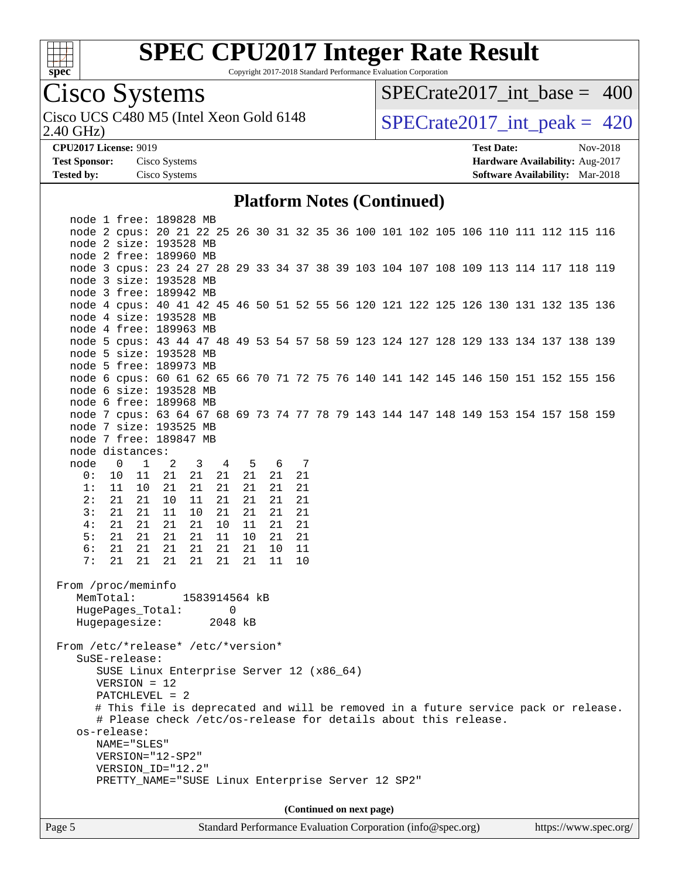

Copyright 2017-2018 Standard Performance Evaluation Corporation

## Cisco Systems

2.40 GHz) Cisco UCS C480 M5 (Intel Xeon Gold 6148  $\vert$  [SPECrate2017\\_int\\_peak =](http://www.spec.org/auto/cpu2017/Docs/result-fields.html#SPECrate2017intpeak) 420

[SPECrate2017\\_int\\_base =](http://www.spec.org/auto/cpu2017/Docs/result-fields.html#SPECrate2017intbase) 400

**[CPU2017 License:](http://www.spec.org/auto/cpu2017/Docs/result-fields.html#CPU2017License)** 9019 **[Test Date:](http://www.spec.org/auto/cpu2017/Docs/result-fields.html#TestDate)** Nov-2018 **[Test Sponsor:](http://www.spec.org/auto/cpu2017/Docs/result-fields.html#TestSponsor)** Cisco Systems **[Hardware Availability:](http://www.spec.org/auto/cpu2017/Docs/result-fields.html#HardwareAvailability)** Aug-2017 **[Tested by:](http://www.spec.org/auto/cpu2017/Docs/result-fields.html#Testedby)** Cisco Systems **[Software Availability:](http://www.spec.org/auto/cpu2017/Docs/result-fields.html#SoftwareAvailability)** Mar-2018

#### **[Platform Notes \(Continued\)](http://www.spec.org/auto/cpu2017/Docs/result-fields.html#PlatformNotes)**

Page 5 Standard Performance Evaluation Corporation [\(info@spec.org\)](mailto:info@spec.org) <https://www.spec.org/>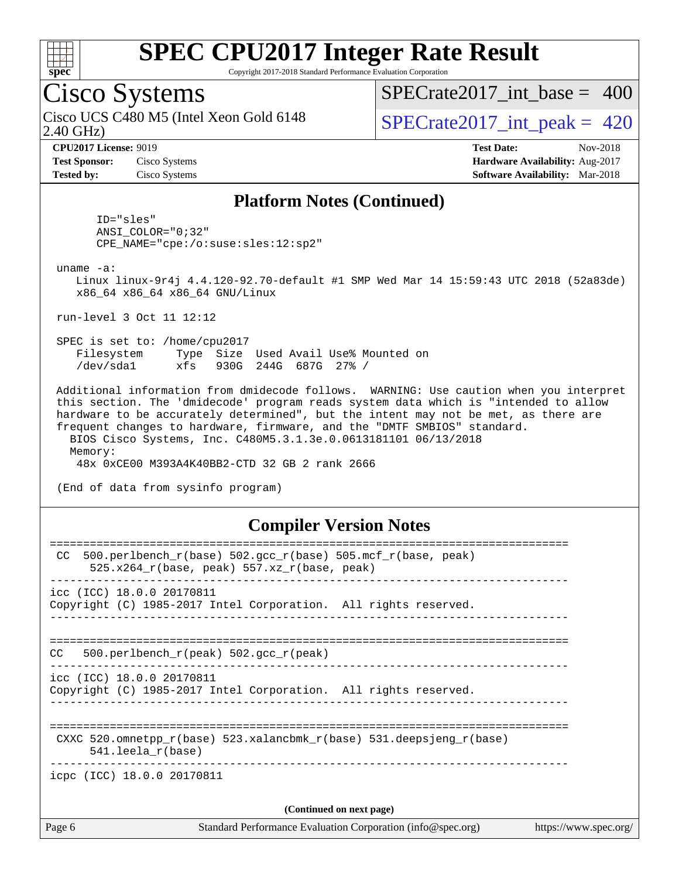

Copyright 2017-2018 Standard Performance Evaluation Corporation

### Cisco Systems

2.40 GHz) Cisco UCS C480 M5 (Intel Xeon Gold 6148  $\vert$  [SPECrate2017\\_int\\_peak =](http://www.spec.org/auto/cpu2017/Docs/result-fields.html#SPECrate2017intpeak) 420

[SPECrate2017\\_int\\_base =](http://www.spec.org/auto/cpu2017/Docs/result-fields.html#SPECrate2017intbase) 400

**[Test Sponsor:](http://www.spec.org/auto/cpu2017/Docs/result-fields.html#TestSponsor)** Cisco Systems **[Hardware Availability:](http://www.spec.org/auto/cpu2017/Docs/result-fields.html#HardwareAvailability)** Aug-2017

**[CPU2017 License:](http://www.spec.org/auto/cpu2017/Docs/result-fields.html#CPU2017License)** 9019 **[Test Date:](http://www.spec.org/auto/cpu2017/Docs/result-fields.html#TestDate)** Nov-2018 **[Tested by:](http://www.spec.org/auto/cpu2017/Docs/result-fields.html#Testedby)** Cisco Systems **[Software Availability:](http://www.spec.org/auto/cpu2017/Docs/result-fields.html#SoftwareAvailability)** Mar-2018

#### **[Platform Notes \(Continued\)](http://www.spec.org/auto/cpu2017/Docs/result-fields.html#PlatformNotes)**

 ID="sles" ANSI\_COLOR="0;32" CPE\_NAME="cpe:/o:suse:sles:12:sp2"

uname -a:

 Linux linux-9r4j 4.4.120-92.70-default #1 SMP Wed Mar 14 15:59:43 UTC 2018 (52a83de) x86\_64 x86\_64 x86\_64 GNU/Linux

run-level 3 Oct 11 12:12

 SPEC is set to: /home/cpu2017 Filesystem Type Size Used Avail Use% Mounted on /dev/sda1 xfs 930G 244G 687G 27% /

 Additional information from dmidecode follows. WARNING: Use caution when you interpret this section. The 'dmidecode' program reads system data which is "intended to allow hardware to be accurately determined", but the intent may not be met, as there are frequent changes to hardware, firmware, and the "DMTF SMBIOS" standard. BIOS Cisco Systems, Inc. C480M5.3.1.3e.0.0613181101 06/13/2018 Memory:

48x 0xCE00 M393A4K40BB2-CTD 32 GB 2 rank 2666

(End of data from sysinfo program)

#### **[Compiler Version Notes](http://www.spec.org/auto/cpu2017/Docs/result-fields.html#CompilerVersionNotes)**

| Page 6                     | Standard Performance Evaluation Corporation (info@spec.org)                                                        | https://www.spec.org/ |
|----------------------------|--------------------------------------------------------------------------------------------------------------------|-----------------------|
|                            | (Continued on next page)                                                                                           |                       |
| icpc (ICC) 18.0.0 20170811 |                                                                                                                    |                       |
| $541.$ leela r(base)       | CXXC 520.omnetpp $r(base)$ 523.xalancbmk $r(base)$ 531.deepsjeng $r(base)$                                         |                       |
| icc (ICC) 18.0.0 20170811  | Copyright (C) 1985-2017 Intel Corporation. All rights reserved.                                                    |                       |
| CC.                        | 500.perlbench $r(\text{peak})$ 502.gcc $r(\text{peak})$                                                            |                       |
| icc (ICC) 18.0.0 20170811  | Copyright (C) 1985-2017 Intel Corporation. All rights reserved.<br>---------------------------------               |                       |
| CC.                        | $500. perlbench_r(base) 502. gcc_r(base) 505.mcf_r(base, peak)$<br>525.x264 $r(base, peak)$ 557.xz $r(base, peak)$ |                       |
|                            |                                                                                                                    |                       |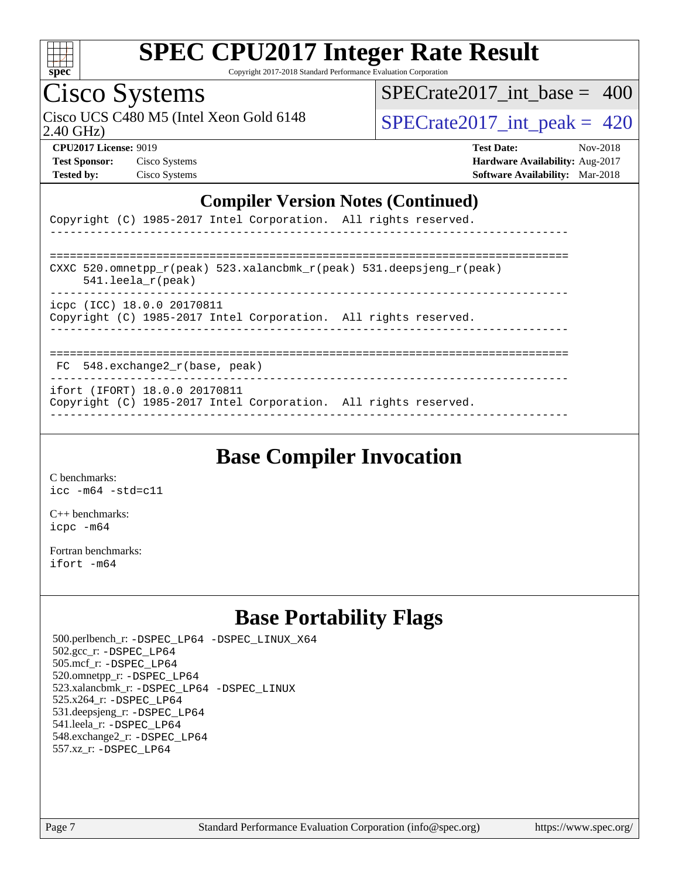

Copyright 2017-2018 Standard Performance Evaluation Corporation

### Cisco Systems

2.40 GHz) Cisco UCS C480 M5 (Intel Xeon Gold 6148  $\vert$  [SPECrate2017\\_int\\_peak =](http://www.spec.org/auto/cpu2017/Docs/result-fields.html#SPECrate2017intpeak) 420

[SPECrate2017\\_int\\_base =](http://www.spec.org/auto/cpu2017/Docs/result-fields.html#SPECrate2017intbase) 400

**[Test Sponsor:](http://www.spec.org/auto/cpu2017/Docs/result-fields.html#TestSponsor)** Cisco Systems **[Hardware Availability:](http://www.spec.org/auto/cpu2017/Docs/result-fields.html#HardwareAvailability)** Aug-2017

**[CPU2017 License:](http://www.spec.org/auto/cpu2017/Docs/result-fields.html#CPU2017License)** 9019 **[Test Date:](http://www.spec.org/auto/cpu2017/Docs/result-fields.html#TestDate)** Nov-2018 **[Tested by:](http://www.spec.org/auto/cpu2017/Docs/result-fields.html#Testedby)** Cisco Systems **[Software Availability:](http://www.spec.org/auto/cpu2017/Docs/result-fields.html#SoftwareAvailability)** Mar-2018

#### **[Compiler Version Notes \(Continued\)](http://www.spec.org/auto/cpu2017/Docs/result-fields.html#CompilerVersionNotes)**

|  |  | Copyright (C) 1985-2017 Intel Corporation. All rights reserved. |  |  |
|--|--|-----------------------------------------------------------------|--|--|
|  |  |                                                                 |  |  |

| CXXC 520.omnetpp $r(\text{peak})$ 523.xalancbmk $r(\text{peak})$ 531.deepsjeng $r(\text{peak})$<br>$541.$ leela r(peak) |
|-------------------------------------------------------------------------------------------------------------------------|
| icpc (ICC) 18.0.0 20170811<br>Copyright (C) 1985-2017 Intel Corporation. All rights reserved.                           |
|                                                                                                                         |

FC 548.exchange2\_r(base, peak)

------------------------------------------------------------------------------

ifort (IFORT) 18.0.0 20170811

Copyright (C) 1985-2017 Intel Corporation. All rights reserved. ------------------------------------------------------------------------------

### **[Base Compiler Invocation](http://www.spec.org/auto/cpu2017/Docs/result-fields.html#BaseCompilerInvocation)**

[C benchmarks](http://www.spec.org/auto/cpu2017/Docs/result-fields.html#Cbenchmarks): [icc -m64 -std=c11](http://www.spec.org/cpu2017/results/res2018q4/cpu2017-20181127-09996.flags.html#user_CCbase_intel_icc_64bit_c11_33ee0cdaae7deeeab2a9725423ba97205ce30f63b9926c2519791662299b76a0318f32ddfffdc46587804de3178b4f9328c46fa7c2b0cd779d7a61945c91cd35)

[C++ benchmarks:](http://www.spec.org/auto/cpu2017/Docs/result-fields.html#CXXbenchmarks) [icpc -m64](http://www.spec.org/cpu2017/results/res2018q4/cpu2017-20181127-09996.flags.html#user_CXXbase_intel_icpc_64bit_4ecb2543ae3f1412ef961e0650ca070fec7b7afdcd6ed48761b84423119d1bf6bdf5cad15b44d48e7256388bc77273b966e5eb805aefd121eb22e9299b2ec9d9)

[Fortran benchmarks](http://www.spec.org/auto/cpu2017/Docs/result-fields.html#Fortranbenchmarks): [ifort -m64](http://www.spec.org/cpu2017/results/res2018q4/cpu2017-20181127-09996.flags.html#user_FCbase_intel_ifort_64bit_24f2bb282fbaeffd6157abe4f878425411749daecae9a33200eee2bee2fe76f3b89351d69a8130dd5949958ce389cf37ff59a95e7a40d588e8d3a57e0c3fd751)

### **[Base Portability Flags](http://www.spec.org/auto/cpu2017/Docs/result-fields.html#BasePortabilityFlags)**

 500.perlbench\_r: [-DSPEC\\_LP64](http://www.spec.org/cpu2017/results/res2018q4/cpu2017-20181127-09996.flags.html#b500.perlbench_r_basePORTABILITY_DSPEC_LP64) [-DSPEC\\_LINUX\\_X64](http://www.spec.org/cpu2017/results/res2018q4/cpu2017-20181127-09996.flags.html#b500.perlbench_r_baseCPORTABILITY_DSPEC_LINUX_X64) 502.gcc\_r: [-DSPEC\\_LP64](http://www.spec.org/cpu2017/results/res2018q4/cpu2017-20181127-09996.flags.html#suite_basePORTABILITY502_gcc_r_DSPEC_LP64) 505.mcf\_r: [-DSPEC\\_LP64](http://www.spec.org/cpu2017/results/res2018q4/cpu2017-20181127-09996.flags.html#suite_basePORTABILITY505_mcf_r_DSPEC_LP64) 520.omnetpp\_r: [-DSPEC\\_LP64](http://www.spec.org/cpu2017/results/res2018q4/cpu2017-20181127-09996.flags.html#suite_basePORTABILITY520_omnetpp_r_DSPEC_LP64) 523.xalancbmk\_r: [-DSPEC\\_LP64](http://www.spec.org/cpu2017/results/res2018q4/cpu2017-20181127-09996.flags.html#suite_basePORTABILITY523_xalancbmk_r_DSPEC_LP64) [-DSPEC\\_LINUX](http://www.spec.org/cpu2017/results/res2018q4/cpu2017-20181127-09996.flags.html#b523.xalancbmk_r_baseCXXPORTABILITY_DSPEC_LINUX) 525.x264\_r: [-DSPEC\\_LP64](http://www.spec.org/cpu2017/results/res2018q4/cpu2017-20181127-09996.flags.html#suite_basePORTABILITY525_x264_r_DSPEC_LP64) 531.deepsjeng\_r: [-DSPEC\\_LP64](http://www.spec.org/cpu2017/results/res2018q4/cpu2017-20181127-09996.flags.html#suite_basePORTABILITY531_deepsjeng_r_DSPEC_LP64) 541.leela\_r: [-DSPEC\\_LP64](http://www.spec.org/cpu2017/results/res2018q4/cpu2017-20181127-09996.flags.html#suite_basePORTABILITY541_leela_r_DSPEC_LP64) 548.exchange2\_r: [-DSPEC\\_LP64](http://www.spec.org/cpu2017/results/res2018q4/cpu2017-20181127-09996.flags.html#suite_basePORTABILITY548_exchange2_r_DSPEC_LP64) 557.xz\_r: [-DSPEC\\_LP64](http://www.spec.org/cpu2017/results/res2018q4/cpu2017-20181127-09996.flags.html#suite_basePORTABILITY557_xz_r_DSPEC_LP64)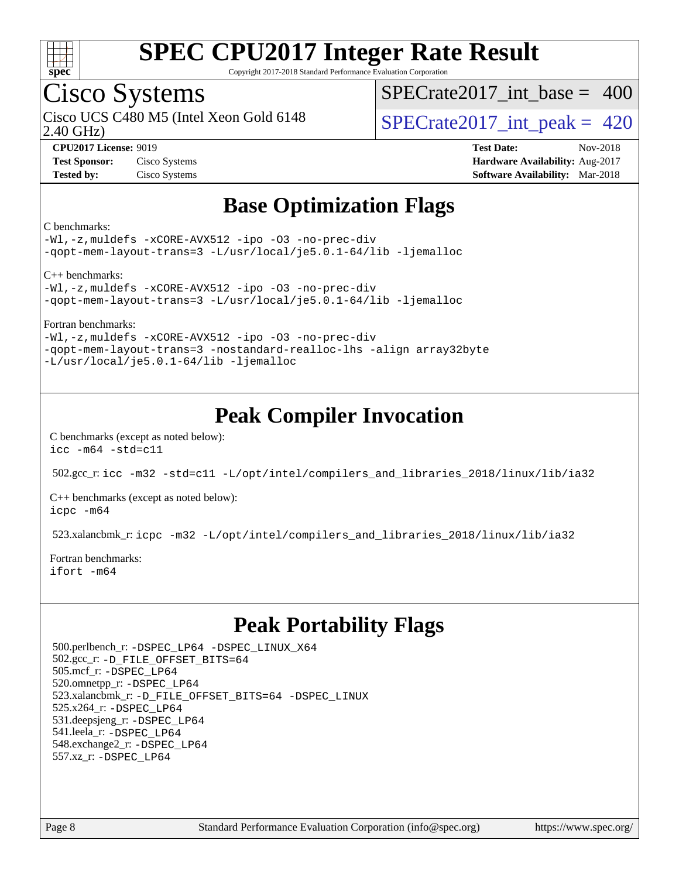

Copyright 2017-2018 Standard Performance Evaluation Corporation

### Cisco Systems

2.40 GHz) Cisco UCS C480 M5 (Intel Xeon Gold 6148  $\vert$  [SPECrate2017\\_int\\_peak =](http://www.spec.org/auto/cpu2017/Docs/result-fields.html#SPECrate2017intpeak) 420

 $SPECrate2017\_int\_base = 400$ 

**[CPU2017 License:](http://www.spec.org/auto/cpu2017/Docs/result-fields.html#CPU2017License)** 9019 **[Test Date:](http://www.spec.org/auto/cpu2017/Docs/result-fields.html#TestDate)** Nov-2018 **[Test Sponsor:](http://www.spec.org/auto/cpu2017/Docs/result-fields.html#TestSponsor)** Cisco Systems **[Hardware Availability:](http://www.spec.org/auto/cpu2017/Docs/result-fields.html#HardwareAvailability)** Aug-2017 **[Tested by:](http://www.spec.org/auto/cpu2017/Docs/result-fields.html#Testedby)** Cisco Systems **[Software Availability:](http://www.spec.org/auto/cpu2017/Docs/result-fields.html#SoftwareAvailability)** Mar-2018

### **[Base Optimization Flags](http://www.spec.org/auto/cpu2017/Docs/result-fields.html#BaseOptimizationFlags)**

[C benchmarks:](http://www.spec.org/auto/cpu2017/Docs/result-fields.html#Cbenchmarks)

[-Wl,-z,muldefs](http://www.spec.org/cpu2017/results/res2018q4/cpu2017-20181127-09996.flags.html#user_CCbase_link_force_multiple1_b4cbdb97b34bdee9ceefcfe54f4c8ea74255f0b02a4b23e853cdb0e18eb4525ac79b5a88067c842dd0ee6996c24547a27a4b99331201badda8798ef8a743f577) [-xCORE-AVX512](http://www.spec.org/cpu2017/results/res2018q4/cpu2017-20181127-09996.flags.html#user_CCbase_f-xCORE-AVX512) [-ipo](http://www.spec.org/cpu2017/results/res2018q4/cpu2017-20181127-09996.flags.html#user_CCbase_f-ipo) [-O3](http://www.spec.org/cpu2017/results/res2018q4/cpu2017-20181127-09996.flags.html#user_CCbase_f-O3) [-no-prec-div](http://www.spec.org/cpu2017/results/res2018q4/cpu2017-20181127-09996.flags.html#user_CCbase_f-no-prec-div) [-qopt-mem-layout-trans=3](http://www.spec.org/cpu2017/results/res2018q4/cpu2017-20181127-09996.flags.html#user_CCbase_f-qopt-mem-layout-trans_de80db37974c74b1f0e20d883f0b675c88c3b01e9d123adea9b28688d64333345fb62bc4a798493513fdb68f60282f9a726aa07f478b2f7113531aecce732043) [-L/usr/local/je5.0.1-64/lib](http://www.spec.org/cpu2017/results/res2018q4/cpu2017-20181127-09996.flags.html#user_CCbase_jemalloc_link_path64_4b10a636b7bce113509b17f3bd0d6226c5fb2346b9178c2d0232c14f04ab830f976640479e5c33dc2bcbbdad86ecfb6634cbbd4418746f06f368b512fced5394) [-ljemalloc](http://www.spec.org/cpu2017/results/res2018q4/cpu2017-20181127-09996.flags.html#user_CCbase_jemalloc_link_lib_d1249b907c500fa1c0672f44f562e3d0f79738ae9e3c4a9c376d49f265a04b9c99b167ecedbf6711b3085be911c67ff61f150a17b3472be731631ba4d0471706)

[C++ benchmarks](http://www.spec.org/auto/cpu2017/Docs/result-fields.html#CXXbenchmarks):

[-Wl,-z,muldefs](http://www.spec.org/cpu2017/results/res2018q4/cpu2017-20181127-09996.flags.html#user_CXXbase_link_force_multiple1_b4cbdb97b34bdee9ceefcfe54f4c8ea74255f0b02a4b23e853cdb0e18eb4525ac79b5a88067c842dd0ee6996c24547a27a4b99331201badda8798ef8a743f577) [-xCORE-AVX512](http://www.spec.org/cpu2017/results/res2018q4/cpu2017-20181127-09996.flags.html#user_CXXbase_f-xCORE-AVX512) [-ipo](http://www.spec.org/cpu2017/results/res2018q4/cpu2017-20181127-09996.flags.html#user_CXXbase_f-ipo) [-O3](http://www.spec.org/cpu2017/results/res2018q4/cpu2017-20181127-09996.flags.html#user_CXXbase_f-O3) [-no-prec-div](http://www.spec.org/cpu2017/results/res2018q4/cpu2017-20181127-09996.flags.html#user_CXXbase_f-no-prec-div) [-qopt-mem-layout-trans=3](http://www.spec.org/cpu2017/results/res2018q4/cpu2017-20181127-09996.flags.html#user_CXXbase_f-qopt-mem-layout-trans_de80db37974c74b1f0e20d883f0b675c88c3b01e9d123adea9b28688d64333345fb62bc4a798493513fdb68f60282f9a726aa07f478b2f7113531aecce732043) [-L/usr/local/je5.0.1-64/lib](http://www.spec.org/cpu2017/results/res2018q4/cpu2017-20181127-09996.flags.html#user_CXXbase_jemalloc_link_path64_4b10a636b7bce113509b17f3bd0d6226c5fb2346b9178c2d0232c14f04ab830f976640479e5c33dc2bcbbdad86ecfb6634cbbd4418746f06f368b512fced5394) [-ljemalloc](http://www.spec.org/cpu2017/results/res2018q4/cpu2017-20181127-09996.flags.html#user_CXXbase_jemalloc_link_lib_d1249b907c500fa1c0672f44f562e3d0f79738ae9e3c4a9c376d49f265a04b9c99b167ecedbf6711b3085be911c67ff61f150a17b3472be731631ba4d0471706)

[Fortran benchmarks:](http://www.spec.org/auto/cpu2017/Docs/result-fields.html#Fortranbenchmarks)

[-Wl,-z,muldefs](http://www.spec.org/cpu2017/results/res2018q4/cpu2017-20181127-09996.flags.html#user_FCbase_link_force_multiple1_b4cbdb97b34bdee9ceefcfe54f4c8ea74255f0b02a4b23e853cdb0e18eb4525ac79b5a88067c842dd0ee6996c24547a27a4b99331201badda8798ef8a743f577) [-xCORE-AVX512](http://www.spec.org/cpu2017/results/res2018q4/cpu2017-20181127-09996.flags.html#user_FCbase_f-xCORE-AVX512) [-ipo](http://www.spec.org/cpu2017/results/res2018q4/cpu2017-20181127-09996.flags.html#user_FCbase_f-ipo) [-O3](http://www.spec.org/cpu2017/results/res2018q4/cpu2017-20181127-09996.flags.html#user_FCbase_f-O3) [-no-prec-div](http://www.spec.org/cpu2017/results/res2018q4/cpu2017-20181127-09996.flags.html#user_FCbase_f-no-prec-div) [-qopt-mem-layout-trans=3](http://www.spec.org/cpu2017/results/res2018q4/cpu2017-20181127-09996.flags.html#user_FCbase_f-qopt-mem-layout-trans_de80db37974c74b1f0e20d883f0b675c88c3b01e9d123adea9b28688d64333345fb62bc4a798493513fdb68f60282f9a726aa07f478b2f7113531aecce732043) [-nostandard-realloc-lhs](http://www.spec.org/cpu2017/results/res2018q4/cpu2017-20181127-09996.flags.html#user_FCbase_f_2003_std_realloc_82b4557e90729c0f113870c07e44d33d6f5a304b4f63d4c15d2d0f1fab99f5daaed73bdb9275d9ae411527f28b936061aa8b9c8f2d63842963b95c9dd6426b8a) [-align array32byte](http://www.spec.org/cpu2017/results/res2018q4/cpu2017-20181127-09996.flags.html#user_FCbase_align_array32byte_b982fe038af199962ba9a80c053b8342c548c85b40b8e86eb3cc33dee0d7986a4af373ac2d51c3f7cf710a18d62fdce2948f201cd044323541f22fc0fffc51b6) [-L/usr/local/je5.0.1-64/lib](http://www.spec.org/cpu2017/results/res2018q4/cpu2017-20181127-09996.flags.html#user_FCbase_jemalloc_link_path64_4b10a636b7bce113509b17f3bd0d6226c5fb2346b9178c2d0232c14f04ab830f976640479e5c33dc2bcbbdad86ecfb6634cbbd4418746f06f368b512fced5394) [-ljemalloc](http://www.spec.org/cpu2017/results/res2018q4/cpu2017-20181127-09996.flags.html#user_FCbase_jemalloc_link_lib_d1249b907c500fa1c0672f44f562e3d0f79738ae9e3c4a9c376d49f265a04b9c99b167ecedbf6711b3085be911c67ff61f150a17b3472be731631ba4d0471706)

### **[Peak Compiler Invocation](http://www.spec.org/auto/cpu2017/Docs/result-fields.html#PeakCompilerInvocation)**

[C benchmarks \(except as noted below\)](http://www.spec.org/auto/cpu2017/Docs/result-fields.html#Cbenchmarksexceptasnotedbelow): [icc -m64 -std=c11](http://www.spec.org/cpu2017/results/res2018q4/cpu2017-20181127-09996.flags.html#user_CCpeak_intel_icc_64bit_c11_33ee0cdaae7deeeab2a9725423ba97205ce30f63b9926c2519791662299b76a0318f32ddfffdc46587804de3178b4f9328c46fa7c2b0cd779d7a61945c91cd35)

502.gcc\_r: [icc -m32 -std=c11 -L/opt/intel/compilers\\_and\\_libraries\\_2018/linux/lib/ia32](http://www.spec.org/cpu2017/results/res2018q4/cpu2017-20181127-09996.flags.html#user_peakCCLD502_gcc_r_intel_icc_2aadaa14f62c0e1495cde6f74ba3d875dfbad9f2fd73ceb1e5b66a7d4b19dc13cfe8615ba85624bf35f0c003544b7d55013bf72425d956b559f9a2757f69c910)

[C++ benchmarks \(except as noted below\):](http://www.spec.org/auto/cpu2017/Docs/result-fields.html#CXXbenchmarksexceptasnotedbelow) [icpc -m64](http://www.spec.org/cpu2017/results/res2018q4/cpu2017-20181127-09996.flags.html#user_CXXpeak_intel_icpc_64bit_4ecb2543ae3f1412ef961e0650ca070fec7b7afdcd6ed48761b84423119d1bf6bdf5cad15b44d48e7256388bc77273b966e5eb805aefd121eb22e9299b2ec9d9)

523.xalancbmk\_r: [icpc -m32 -L/opt/intel/compilers\\_and\\_libraries\\_2018/linux/lib/ia32](http://www.spec.org/cpu2017/results/res2018q4/cpu2017-20181127-09996.flags.html#user_peakCXXLD523_xalancbmk_r_intel_icpc_49b8c4a2e52517df5e44233d8730ac3dfca5acbb5ef11df3347e50260a55109134bcb7fd2e543798dfd93e66566a4e08776ad3f7d40a4ff4276870c090f61f0e)

[Fortran benchmarks](http://www.spec.org/auto/cpu2017/Docs/result-fields.html#Fortranbenchmarks): [ifort -m64](http://www.spec.org/cpu2017/results/res2018q4/cpu2017-20181127-09996.flags.html#user_FCpeak_intel_ifort_64bit_24f2bb282fbaeffd6157abe4f878425411749daecae9a33200eee2bee2fe76f3b89351d69a8130dd5949958ce389cf37ff59a95e7a40d588e8d3a57e0c3fd751)

### **[Peak Portability Flags](http://www.spec.org/auto/cpu2017/Docs/result-fields.html#PeakPortabilityFlags)**

 500.perlbench\_r: [-DSPEC\\_LP64](http://www.spec.org/cpu2017/results/res2018q4/cpu2017-20181127-09996.flags.html#b500.perlbench_r_peakPORTABILITY_DSPEC_LP64) [-DSPEC\\_LINUX\\_X64](http://www.spec.org/cpu2017/results/res2018q4/cpu2017-20181127-09996.flags.html#b500.perlbench_r_peakCPORTABILITY_DSPEC_LINUX_X64) 502.gcc\_r: [-D\\_FILE\\_OFFSET\\_BITS=64](http://www.spec.org/cpu2017/results/res2018q4/cpu2017-20181127-09996.flags.html#user_peakPORTABILITY502_gcc_r_file_offset_bits_64_5ae949a99b284ddf4e95728d47cb0843d81b2eb0e18bdfe74bbf0f61d0b064f4bda2f10ea5eb90e1dcab0e84dbc592acfc5018bc955c18609f94ddb8d550002c) 505.mcf\_r: [-DSPEC\\_LP64](http://www.spec.org/cpu2017/results/res2018q4/cpu2017-20181127-09996.flags.html#suite_peakPORTABILITY505_mcf_r_DSPEC_LP64) 520.omnetpp\_r: [-DSPEC\\_LP64](http://www.spec.org/cpu2017/results/res2018q4/cpu2017-20181127-09996.flags.html#suite_peakPORTABILITY520_omnetpp_r_DSPEC_LP64) 523.xalancbmk\_r: [-D\\_FILE\\_OFFSET\\_BITS=64](http://www.spec.org/cpu2017/results/res2018q4/cpu2017-20181127-09996.flags.html#user_peakPORTABILITY523_xalancbmk_r_file_offset_bits_64_5ae949a99b284ddf4e95728d47cb0843d81b2eb0e18bdfe74bbf0f61d0b064f4bda2f10ea5eb90e1dcab0e84dbc592acfc5018bc955c18609f94ddb8d550002c) [-DSPEC\\_LINUX](http://www.spec.org/cpu2017/results/res2018q4/cpu2017-20181127-09996.flags.html#b523.xalancbmk_r_peakCXXPORTABILITY_DSPEC_LINUX) 525.x264\_r: [-DSPEC\\_LP64](http://www.spec.org/cpu2017/results/res2018q4/cpu2017-20181127-09996.flags.html#suite_peakPORTABILITY525_x264_r_DSPEC_LP64) 531.deepsjeng\_r: [-DSPEC\\_LP64](http://www.spec.org/cpu2017/results/res2018q4/cpu2017-20181127-09996.flags.html#suite_peakPORTABILITY531_deepsjeng_r_DSPEC_LP64) 541.leela\_r: [-DSPEC\\_LP64](http://www.spec.org/cpu2017/results/res2018q4/cpu2017-20181127-09996.flags.html#suite_peakPORTABILITY541_leela_r_DSPEC_LP64) 548.exchange2\_r: [-DSPEC\\_LP64](http://www.spec.org/cpu2017/results/res2018q4/cpu2017-20181127-09996.flags.html#suite_peakPORTABILITY548_exchange2_r_DSPEC_LP64) 557.xz\_r: [-DSPEC\\_LP64](http://www.spec.org/cpu2017/results/res2018q4/cpu2017-20181127-09996.flags.html#suite_peakPORTABILITY557_xz_r_DSPEC_LP64)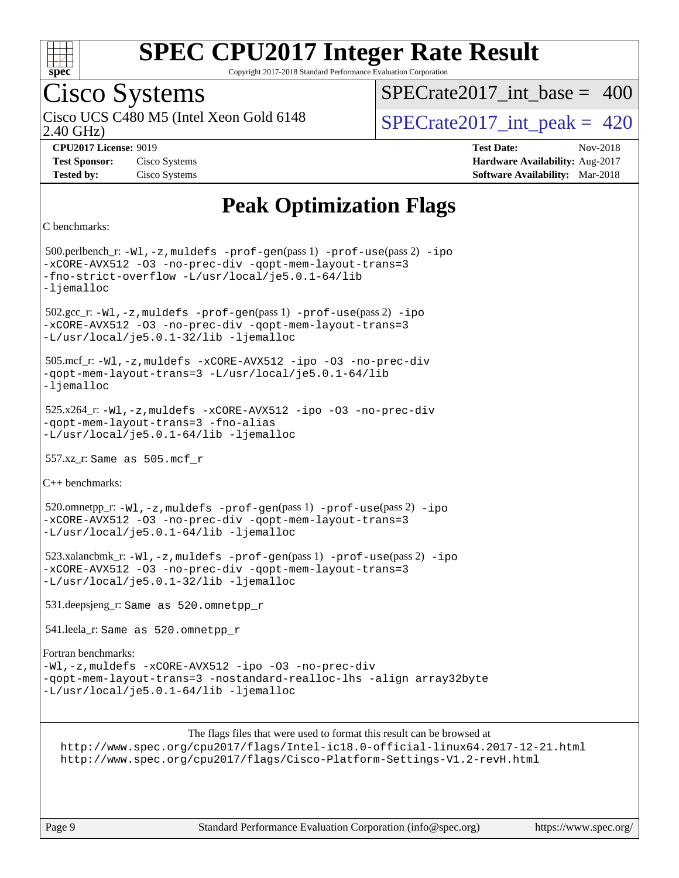

Copyright 2017-2018 Standard Performance Evaluation Corporation

## Cisco Systems

2.40 GHz) Cisco UCS C480 M5 (Intel Xeon Gold 6148  $\vert$  [SPECrate2017\\_int\\_peak =](http://www.spec.org/auto/cpu2017/Docs/result-fields.html#SPECrate2017intpeak) 420

 $SPECrate2017\_int\_base = 400$ 

**[CPU2017 License:](http://www.spec.org/auto/cpu2017/Docs/result-fields.html#CPU2017License)** 9019 **[Test Date:](http://www.spec.org/auto/cpu2017/Docs/result-fields.html#TestDate)** Nov-2018 **[Test Sponsor:](http://www.spec.org/auto/cpu2017/Docs/result-fields.html#TestSponsor)** Cisco Systems **[Hardware Availability:](http://www.spec.org/auto/cpu2017/Docs/result-fields.html#HardwareAvailability)** Aug-2017 **[Tested by:](http://www.spec.org/auto/cpu2017/Docs/result-fields.html#Testedby)** Cisco Systems **[Software Availability:](http://www.spec.org/auto/cpu2017/Docs/result-fields.html#SoftwareAvailability)** Mar-2018

### **[Peak Optimization Flags](http://www.spec.org/auto/cpu2017/Docs/result-fields.html#PeakOptimizationFlags)**

```
C benchmarks:
```
 500.perlbench\_r: [-Wl,-z,muldefs](http://www.spec.org/cpu2017/results/res2018q4/cpu2017-20181127-09996.flags.html#user_peakEXTRA_LDFLAGS500_perlbench_r_link_force_multiple1_b4cbdb97b34bdee9ceefcfe54f4c8ea74255f0b02a4b23e853cdb0e18eb4525ac79b5a88067c842dd0ee6996c24547a27a4b99331201badda8798ef8a743f577) [-prof-gen](http://www.spec.org/cpu2017/results/res2018q4/cpu2017-20181127-09996.flags.html#user_peakPASS1_CFLAGSPASS1_LDFLAGS500_perlbench_r_prof_gen_5aa4926d6013ddb2a31985c654b3eb18169fc0c6952a63635c234f711e6e63dd76e94ad52365559451ec499a2cdb89e4dc58ba4c67ef54ca681ffbe1461d6b36)(pass 1) [-prof-use](http://www.spec.org/cpu2017/results/res2018q4/cpu2017-20181127-09996.flags.html#user_peakPASS2_CFLAGSPASS2_LDFLAGS500_perlbench_r_prof_use_1a21ceae95f36a2b53c25747139a6c16ca95bd9def2a207b4f0849963b97e94f5260e30a0c64f4bb623698870e679ca08317ef8150905d41bd88c6f78df73f19)(pass 2) [-ipo](http://www.spec.org/cpu2017/results/res2018q4/cpu2017-20181127-09996.flags.html#user_peakPASS1_COPTIMIZEPASS2_COPTIMIZE500_perlbench_r_f-ipo) [-xCORE-AVX512](http://www.spec.org/cpu2017/results/res2018q4/cpu2017-20181127-09996.flags.html#user_peakPASS2_COPTIMIZE500_perlbench_r_f-xCORE-AVX512) [-O3](http://www.spec.org/cpu2017/results/res2018q4/cpu2017-20181127-09996.flags.html#user_peakPASS1_COPTIMIZEPASS2_COPTIMIZE500_perlbench_r_f-O3) [-no-prec-div](http://www.spec.org/cpu2017/results/res2018q4/cpu2017-20181127-09996.flags.html#user_peakPASS1_COPTIMIZEPASS2_COPTIMIZE500_perlbench_r_f-no-prec-div) [-qopt-mem-layout-trans=3](http://www.spec.org/cpu2017/results/res2018q4/cpu2017-20181127-09996.flags.html#user_peakPASS1_COPTIMIZEPASS2_COPTIMIZE500_perlbench_r_f-qopt-mem-layout-trans_de80db37974c74b1f0e20d883f0b675c88c3b01e9d123adea9b28688d64333345fb62bc4a798493513fdb68f60282f9a726aa07f478b2f7113531aecce732043) [-fno-strict-overflow](http://www.spec.org/cpu2017/results/res2018q4/cpu2017-20181127-09996.flags.html#user_peakEXTRA_OPTIMIZE500_perlbench_r_f-fno-strict-overflow) [-L/usr/local/je5.0.1-64/lib](http://www.spec.org/cpu2017/results/res2018q4/cpu2017-20181127-09996.flags.html#user_peakEXTRA_LIBS500_perlbench_r_jemalloc_link_path64_4b10a636b7bce113509b17f3bd0d6226c5fb2346b9178c2d0232c14f04ab830f976640479e5c33dc2bcbbdad86ecfb6634cbbd4418746f06f368b512fced5394) [-ljemalloc](http://www.spec.org/cpu2017/results/res2018q4/cpu2017-20181127-09996.flags.html#user_peakEXTRA_LIBS500_perlbench_r_jemalloc_link_lib_d1249b907c500fa1c0672f44f562e3d0f79738ae9e3c4a9c376d49f265a04b9c99b167ecedbf6711b3085be911c67ff61f150a17b3472be731631ba4d0471706) 502.gcc\_r: [-Wl,-z,muldefs](http://www.spec.org/cpu2017/results/res2018q4/cpu2017-20181127-09996.flags.html#user_peakEXTRA_LDFLAGS502_gcc_r_link_force_multiple1_b4cbdb97b34bdee9ceefcfe54f4c8ea74255f0b02a4b23e853cdb0e18eb4525ac79b5a88067c842dd0ee6996c24547a27a4b99331201badda8798ef8a743f577) [-prof-gen](http://www.spec.org/cpu2017/results/res2018q4/cpu2017-20181127-09996.flags.html#user_peakPASS1_CFLAGSPASS1_LDFLAGS502_gcc_r_prof_gen_5aa4926d6013ddb2a31985c654b3eb18169fc0c6952a63635c234f711e6e63dd76e94ad52365559451ec499a2cdb89e4dc58ba4c67ef54ca681ffbe1461d6b36)(pass 1) [-prof-use](http://www.spec.org/cpu2017/results/res2018q4/cpu2017-20181127-09996.flags.html#user_peakPASS2_CFLAGSPASS2_LDFLAGS502_gcc_r_prof_use_1a21ceae95f36a2b53c25747139a6c16ca95bd9def2a207b4f0849963b97e94f5260e30a0c64f4bb623698870e679ca08317ef8150905d41bd88c6f78df73f19)(pass 2) [-ipo](http://www.spec.org/cpu2017/results/res2018q4/cpu2017-20181127-09996.flags.html#user_peakPASS1_COPTIMIZEPASS2_COPTIMIZE502_gcc_r_f-ipo) [-xCORE-AVX512](http://www.spec.org/cpu2017/results/res2018q4/cpu2017-20181127-09996.flags.html#user_peakPASS2_COPTIMIZE502_gcc_r_f-xCORE-AVX512) [-O3](http://www.spec.org/cpu2017/results/res2018q4/cpu2017-20181127-09996.flags.html#user_peakPASS1_COPTIMIZEPASS2_COPTIMIZE502_gcc_r_f-O3) [-no-prec-div](http://www.spec.org/cpu2017/results/res2018q4/cpu2017-20181127-09996.flags.html#user_peakPASS1_COPTIMIZEPASS2_COPTIMIZE502_gcc_r_f-no-prec-div) [-qopt-mem-layout-trans=3](http://www.spec.org/cpu2017/results/res2018q4/cpu2017-20181127-09996.flags.html#user_peakPASS1_COPTIMIZEPASS2_COPTIMIZE502_gcc_r_f-qopt-mem-layout-trans_de80db37974c74b1f0e20d883f0b675c88c3b01e9d123adea9b28688d64333345fb62bc4a798493513fdb68f60282f9a726aa07f478b2f7113531aecce732043) [-L/usr/local/je5.0.1-32/lib](http://www.spec.org/cpu2017/results/res2018q4/cpu2017-20181127-09996.flags.html#user_peakEXTRA_LIBS502_gcc_r_jemalloc_link_path32_e29f22e8e6c17053bbc6a0971f5a9c01a601a06bb1a59df2084b77a2fe0a2995b64fd4256feaeea39eeba3aae142e96e2b2b0a28974019c0c0c88139a84f900a) [-ljemalloc](http://www.spec.org/cpu2017/results/res2018q4/cpu2017-20181127-09996.flags.html#user_peakEXTRA_LIBS502_gcc_r_jemalloc_link_lib_d1249b907c500fa1c0672f44f562e3d0f79738ae9e3c4a9c376d49f265a04b9c99b167ecedbf6711b3085be911c67ff61f150a17b3472be731631ba4d0471706) 505.mcf\_r: [-Wl,-z,muldefs](http://www.spec.org/cpu2017/results/res2018q4/cpu2017-20181127-09996.flags.html#user_peakEXTRA_LDFLAGS505_mcf_r_link_force_multiple1_b4cbdb97b34bdee9ceefcfe54f4c8ea74255f0b02a4b23e853cdb0e18eb4525ac79b5a88067c842dd0ee6996c24547a27a4b99331201badda8798ef8a743f577) [-xCORE-AVX512](http://www.spec.org/cpu2017/results/res2018q4/cpu2017-20181127-09996.flags.html#user_peakCOPTIMIZE505_mcf_r_f-xCORE-AVX512) [-ipo](http://www.spec.org/cpu2017/results/res2018q4/cpu2017-20181127-09996.flags.html#user_peakCOPTIMIZE505_mcf_r_f-ipo) [-O3](http://www.spec.org/cpu2017/results/res2018q4/cpu2017-20181127-09996.flags.html#user_peakCOPTIMIZE505_mcf_r_f-O3) [-no-prec-div](http://www.spec.org/cpu2017/results/res2018q4/cpu2017-20181127-09996.flags.html#user_peakCOPTIMIZE505_mcf_r_f-no-prec-div) [-qopt-mem-layout-trans=3](http://www.spec.org/cpu2017/results/res2018q4/cpu2017-20181127-09996.flags.html#user_peakCOPTIMIZE505_mcf_r_f-qopt-mem-layout-trans_de80db37974c74b1f0e20d883f0b675c88c3b01e9d123adea9b28688d64333345fb62bc4a798493513fdb68f60282f9a726aa07f478b2f7113531aecce732043) [-L/usr/local/je5.0.1-64/lib](http://www.spec.org/cpu2017/results/res2018q4/cpu2017-20181127-09996.flags.html#user_peakEXTRA_LIBS505_mcf_r_jemalloc_link_path64_4b10a636b7bce113509b17f3bd0d6226c5fb2346b9178c2d0232c14f04ab830f976640479e5c33dc2bcbbdad86ecfb6634cbbd4418746f06f368b512fced5394) [-ljemalloc](http://www.spec.org/cpu2017/results/res2018q4/cpu2017-20181127-09996.flags.html#user_peakEXTRA_LIBS505_mcf_r_jemalloc_link_lib_d1249b907c500fa1c0672f44f562e3d0f79738ae9e3c4a9c376d49f265a04b9c99b167ecedbf6711b3085be911c67ff61f150a17b3472be731631ba4d0471706) 525.x264\_r: [-Wl,-z,muldefs](http://www.spec.org/cpu2017/results/res2018q4/cpu2017-20181127-09996.flags.html#user_peakEXTRA_LDFLAGS525_x264_r_link_force_multiple1_b4cbdb97b34bdee9ceefcfe54f4c8ea74255f0b02a4b23e853cdb0e18eb4525ac79b5a88067c842dd0ee6996c24547a27a4b99331201badda8798ef8a743f577) [-xCORE-AVX512](http://www.spec.org/cpu2017/results/res2018q4/cpu2017-20181127-09996.flags.html#user_peakCOPTIMIZE525_x264_r_f-xCORE-AVX512) [-ipo](http://www.spec.org/cpu2017/results/res2018q4/cpu2017-20181127-09996.flags.html#user_peakCOPTIMIZE525_x264_r_f-ipo) [-O3](http://www.spec.org/cpu2017/results/res2018q4/cpu2017-20181127-09996.flags.html#user_peakCOPTIMIZE525_x264_r_f-O3) [-no-prec-div](http://www.spec.org/cpu2017/results/res2018q4/cpu2017-20181127-09996.flags.html#user_peakCOPTIMIZE525_x264_r_f-no-prec-div) [-qopt-mem-layout-trans=3](http://www.spec.org/cpu2017/results/res2018q4/cpu2017-20181127-09996.flags.html#user_peakCOPTIMIZE525_x264_r_f-qopt-mem-layout-trans_de80db37974c74b1f0e20d883f0b675c88c3b01e9d123adea9b28688d64333345fb62bc4a798493513fdb68f60282f9a726aa07f478b2f7113531aecce732043) [-fno-alias](http://www.spec.org/cpu2017/results/res2018q4/cpu2017-20181127-09996.flags.html#user_peakEXTRA_OPTIMIZE525_x264_r_f-no-alias_77dbac10d91cbfe898fbf4a29d1b29b694089caa623bdd1baccc9957d4edbe8d106c0b357e2748a65b44fc9e83d78098bb898077f3fe92f9faf24f7bd4a07ed7) [-L/usr/local/je5.0.1-64/lib](http://www.spec.org/cpu2017/results/res2018q4/cpu2017-20181127-09996.flags.html#user_peakEXTRA_LIBS525_x264_r_jemalloc_link_path64_4b10a636b7bce113509b17f3bd0d6226c5fb2346b9178c2d0232c14f04ab830f976640479e5c33dc2bcbbdad86ecfb6634cbbd4418746f06f368b512fced5394) [-ljemalloc](http://www.spec.org/cpu2017/results/res2018q4/cpu2017-20181127-09996.flags.html#user_peakEXTRA_LIBS525_x264_r_jemalloc_link_lib_d1249b907c500fa1c0672f44f562e3d0f79738ae9e3c4a9c376d49f265a04b9c99b167ecedbf6711b3085be911c67ff61f150a17b3472be731631ba4d0471706) 557.xz\_r: Same as 505.mcf\_r [C++ benchmarks](http://www.spec.org/auto/cpu2017/Docs/result-fields.html#CXXbenchmarks): 520.omnetpp\_r: [-Wl,-z,muldefs](http://www.spec.org/cpu2017/results/res2018q4/cpu2017-20181127-09996.flags.html#user_peakEXTRA_LDFLAGS520_omnetpp_r_link_force_multiple1_b4cbdb97b34bdee9ceefcfe54f4c8ea74255f0b02a4b23e853cdb0e18eb4525ac79b5a88067c842dd0ee6996c24547a27a4b99331201badda8798ef8a743f577) [-prof-gen](http://www.spec.org/cpu2017/results/res2018q4/cpu2017-20181127-09996.flags.html#user_peakPASS1_CXXFLAGSPASS1_LDFLAGS520_omnetpp_r_prof_gen_5aa4926d6013ddb2a31985c654b3eb18169fc0c6952a63635c234f711e6e63dd76e94ad52365559451ec499a2cdb89e4dc58ba4c67ef54ca681ffbe1461d6b36)(pass 1) [-prof-use](http://www.spec.org/cpu2017/results/res2018q4/cpu2017-20181127-09996.flags.html#user_peakPASS2_CXXFLAGSPASS2_LDFLAGS520_omnetpp_r_prof_use_1a21ceae95f36a2b53c25747139a6c16ca95bd9def2a207b4f0849963b97e94f5260e30a0c64f4bb623698870e679ca08317ef8150905d41bd88c6f78df73f19)(pass 2) [-ipo](http://www.spec.org/cpu2017/results/res2018q4/cpu2017-20181127-09996.flags.html#user_peakPASS1_CXXOPTIMIZEPASS2_CXXOPTIMIZE520_omnetpp_r_f-ipo) [-xCORE-AVX512](http://www.spec.org/cpu2017/results/res2018q4/cpu2017-20181127-09996.flags.html#user_peakPASS2_CXXOPTIMIZE520_omnetpp_r_f-xCORE-AVX512) [-O3](http://www.spec.org/cpu2017/results/res2018q4/cpu2017-20181127-09996.flags.html#user_peakPASS1_CXXOPTIMIZEPASS2_CXXOPTIMIZE520_omnetpp_r_f-O3) [-no-prec-div](http://www.spec.org/cpu2017/results/res2018q4/cpu2017-20181127-09996.flags.html#user_peakPASS1_CXXOPTIMIZEPASS2_CXXOPTIMIZE520_omnetpp_r_f-no-prec-div) [-qopt-mem-layout-trans=3](http://www.spec.org/cpu2017/results/res2018q4/cpu2017-20181127-09996.flags.html#user_peakPASS1_CXXOPTIMIZEPASS2_CXXOPTIMIZE520_omnetpp_r_f-qopt-mem-layout-trans_de80db37974c74b1f0e20d883f0b675c88c3b01e9d123adea9b28688d64333345fb62bc4a798493513fdb68f60282f9a726aa07f478b2f7113531aecce732043) [-L/usr/local/je5.0.1-64/lib](http://www.spec.org/cpu2017/results/res2018q4/cpu2017-20181127-09996.flags.html#user_peakEXTRA_LIBS520_omnetpp_r_jemalloc_link_path64_4b10a636b7bce113509b17f3bd0d6226c5fb2346b9178c2d0232c14f04ab830f976640479e5c33dc2bcbbdad86ecfb6634cbbd4418746f06f368b512fced5394) [-ljemalloc](http://www.spec.org/cpu2017/results/res2018q4/cpu2017-20181127-09996.flags.html#user_peakEXTRA_LIBS520_omnetpp_r_jemalloc_link_lib_d1249b907c500fa1c0672f44f562e3d0f79738ae9e3c4a9c376d49f265a04b9c99b167ecedbf6711b3085be911c67ff61f150a17b3472be731631ba4d0471706) 523.xalancbmk\_r: [-Wl,-z,muldefs](http://www.spec.org/cpu2017/results/res2018q4/cpu2017-20181127-09996.flags.html#user_peakEXTRA_LDFLAGS523_xalancbmk_r_link_force_multiple1_b4cbdb97b34bdee9ceefcfe54f4c8ea74255f0b02a4b23e853cdb0e18eb4525ac79b5a88067c842dd0ee6996c24547a27a4b99331201badda8798ef8a743f577) [-prof-gen](http://www.spec.org/cpu2017/results/res2018q4/cpu2017-20181127-09996.flags.html#user_peakPASS1_CXXFLAGSPASS1_LDFLAGS523_xalancbmk_r_prof_gen_5aa4926d6013ddb2a31985c654b3eb18169fc0c6952a63635c234f711e6e63dd76e94ad52365559451ec499a2cdb89e4dc58ba4c67ef54ca681ffbe1461d6b36)(pass 1) [-prof-use](http://www.spec.org/cpu2017/results/res2018q4/cpu2017-20181127-09996.flags.html#user_peakPASS2_CXXFLAGSPASS2_LDFLAGS523_xalancbmk_r_prof_use_1a21ceae95f36a2b53c25747139a6c16ca95bd9def2a207b4f0849963b97e94f5260e30a0c64f4bb623698870e679ca08317ef8150905d41bd88c6f78df73f19)(pass 2) [-ipo](http://www.spec.org/cpu2017/results/res2018q4/cpu2017-20181127-09996.flags.html#user_peakPASS1_CXXOPTIMIZEPASS2_CXXOPTIMIZE523_xalancbmk_r_f-ipo) [-xCORE-AVX512](http://www.spec.org/cpu2017/results/res2018q4/cpu2017-20181127-09996.flags.html#user_peakPASS2_CXXOPTIMIZE523_xalancbmk_r_f-xCORE-AVX512) [-O3](http://www.spec.org/cpu2017/results/res2018q4/cpu2017-20181127-09996.flags.html#user_peakPASS1_CXXOPTIMIZEPASS2_CXXOPTIMIZE523_xalancbmk_r_f-O3) [-no-prec-div](http://www.spec.org/cpu2017/results/res2018q4/cpu2017-20181127-09996.flags.html#user_peakPASS1_CXXOPTIMIZEPASS2_CXXOPTIMIZE523_xalancbmk_r_f-no-prec-div) [-qopt-mem-layout-trans=3](http://www.spec.org/cpu2017/results/res2018q4/cpu2017-20181127-09996.flags.html#user_peakPASS1_CXXOPTIMIZEPASS2_CXXOPTIMIZE523_xalancbmk_r_f-qopt-mem-layout-trans_de80db37974c74b1f0e20d883f0b675c88c3b01e9d123adea9b28688d64333345fb62bc4a798493513fdb68f60282f9a726aa07f478b2f7113531aecce732043) [-L/usr/local/je5.0.1-32/lib](http://www.spec.org/cpu2017/results/res2018q4/cpu2017-20181127-09996.flags.html#user_peakEXTRA_LIBS523_xalancbmk_r_jemalloc_link_path32_e29f22e8e6c17053bbc6a0971f5a9c01a601a06bb1a59df2084b77a2fe0a2995b64fd4256feaeea39eeba3aae142e96e2b2b0a28974019c0c0c88139a84f900a) [-ljemalloc](http://www.spec.org/cpu2017/results/res2018q4/cpu2017-20181127-09996.flags.html#user_peakEXTRA_LIBS523_xalancbmk_r_jemalloc_link_lib_d1249b907c500fa1c0672f44f562e3d0f79738ae9e3c4a9c376d49f265a04b9c99b167ecedbf6711b3085be911c67ff61f150a17b3472be731631ba4d0471706) 531.deepsjeng\_r: Same as 520.omnetpp\_r 541.leela\_r: Same as 520.omnetpp\_r [Fortran benchmarks:](http://www.spec.org/auto/cpu2017/Docs/result-fields.html#Fortranbenchmarks) [-Wl,-z,muldefs](http://www.spec.org/cpu2017/results/res2018q4/cpu2017-20181127-09996.flags.html#user_FCpeak_link_force_multiple1_b4cbdb97b34bdee9ceefcfe54f4c8ea74255f0b02a4b23e853cdb0e18eb4525ac79b5a88067c842dd0ee6996c24547a27a4b99331201badda8798ef8a743f577) [-xCORE-AVX512](http://www.spec.org/cpu2017/results/res2018q4/cpu2017-20181127-09996.flags.html#user_FCpeak_f-xCORE-AVX512) [-ipo](http://www.spec.org/cpu2017/results/res2018q4/cpu2017-20181127-09996.flags.html#user_FCpeak_f-ipo) [-O3](http://www.spec.org/cpu2017/results/res2018q4/cpu2017-20181127-09996.flags.html#user_FCpeak_f-O3) [-no-prec-div](http://www.spec.org/cpu2017/results/res2018q4/cpu2017-20181127-09996.flags.html#user_FCpeak_f-no-prec-div) [-qopt-mem-layout-trans=3](http://www.spec.org/cpu2017/results/res2018q4/cpu2017-20181127-09996.flags.html#user_FCpeak_f-qopt-mem-layout-trans_de80db37974c74b1f0e20d883f0b675c88c3b01e9d123adea9b28688d64333345fb62bc4a798493513fdb68f60282f9a726aa07f478b2f7113531aecce732043) [-nostandard-realloc-lhs](http://www.spec.org/cpu2017/results/res2018q4/cpu2017-20181127-09996.flags.html#user_FCpeak_f_2003_std_realloc_82b4557e90729c0f113870c07e44d33d6f5a304b4f63d4c15d2d0f1fab99f5daaed73bdb9275d9ae411527f28b936061aa8b9c8f2d63842963b95c9dd6426b8a) [-align array32byte](http://www.spec.org/cpu2017/results/res2018q4/cpu2017-20181127-09996.flags.html#user_FCpeak_align_array32byte_b982fe038af199962ba9a80c053b8342c548c85b40b8e86eb3cc33dee0d7986a4af373ac2d51c3f7cf710a18d62fdce2948f201cd044323541f22fc0fffc51b6) [-L/usr/local/je5.0.1-64/lib](http://www.spec.org/cpu2017/results/res2018q4/cpu2017-20181127-09996.flags.html#user_FCpeak_jemalloc_link_path64_4b10a636b7bce113509b17f3bd0d6226c5fb2346b9178c2d0232c14f04ab830f976640479e5c33dc2bcbbdad86ecfb6634cbbd4418746f06f368b512fced5394) [-ljemalloc](http://www.spec.org/cpu2017/results/res2018q4/cpu2017-20181127-09996.flags.html#user_FCpeak_jemalloc_link_lib_d1249b907c500fa1c0672f44f562e3d0f79738ae9e3c4a9c376d49f265a04b9c99b167ecedbf6711b3085be911c67ff61f150a17b3472be731631ba4d0471706)

The flags files that were used to format this result can be browsed at

<http://www.spec.org/cpu2017/flags/Intel-ic18.0-official-linux64.2017-12-21.html> <http://www.spec.org/cpu2017/flags/Cisco-Platform-Settings-V1.2-revH.html>